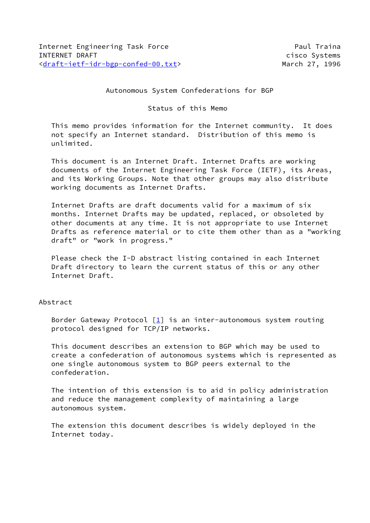Autonomous System Confederations for BGP

Status of this Memo

 This memo provides information for the Internet community. It does not specify an Internet standard. Distribution of this memo is unlimited.

 This document is an Internet Draft. Internet Drafts are working documents of the Internet Engineering Task Force (IETF), its Areas, and its Working Groups. Note that other groups may also distribute working documents as Internet Drafts.

 Internet Drafts are draft documents valid for a maximum of six months. Internet Drafts may be updated, replaced, or obsoleted by other documents at any time. It is not appropriate to use Internet Drafts as reference material or to cite them other than as a "working draft" or "work in progress."

 Please check the I-D abstract listing contained in each Internet Draft directory to learn the current status of this or any other Internet Draft.

# Abstract

Border Gateway Protocol  $\boxed{1}$  is an inter-autonomous system routing protocol designed for TCP/IP networks.

 This document describes an extension to BGP which may be used to create a confederation of autonomous systems which is represented as one single autonomous system to BGP peers external to the confederation.

 The intention of this extension is to aid in policy administration and reduce the management complexity of maintaining a large autonomous system.

 The extension this document describes is widely deployed in the Internet today.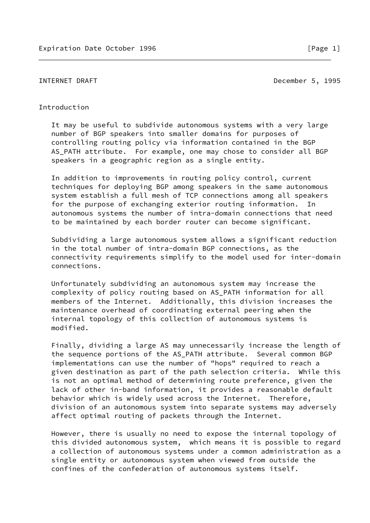INTERNET DRAFT December 5, 1995

### Introduction

 It may be useful to subdivide autonomous systems with a very large number of BGP speakers into smaller domains for purposes of controlling routing policy via information contained in the BGP AS\_PATH attribute. For example, one may chose to consider all BGP speakers in a geographic region as a single entity.

 In addition to improvements in routing policy control, current techniques for deploying BGP among speakers in the same autonomous system establish a full mesh of TCP connections among all speakers for the purpose of exchanging exterior routing information. In autonomous systems the number of intra-domain connections that need to be maintained by each border router can become significant.

 Subdividing a large autonomous system allows a significant reduction in the total number of intra-domain BGP connections, as the connectivity requirements simplify to the model used for inter-domain connections.

 Unfortunately subdividing an autonomous system may increase the complexity of policy routing based on AS\_PATH information for all members of the Internet. Additionally, this division increases the maintenance overhead of coordinating external peering when the internal topology of this collection of autonomous systems is modified.

 Finally, dividing a large AS may unnecessarily increase the length of the sequence portions of the AS\_PATH attribute. Several common BGP implementations can use the number of "hops" required to reach a given destination as part of the path selection criteria. While this is not an optimal method of determining route preference, given the lack of other in-band information, it provides a reasonable default behavior which is widely used across the Internet. Therefore, division of an autonomous system into separate systems may adversely affect optimal routing of packets through the Internet.

 However, there is usually no need to expose the internal topology of this divided autonomous system, which means it is possible to regard a collection of autonomous systems under a common administration as a single entity or autonomous system when viewed from outside the confines of the confederation of autonomous systems itself.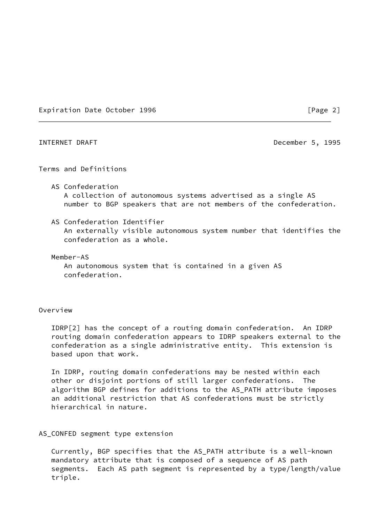Expiration Date October 1996 **and Solution** (Page 2)

### INTERNET DRAFT December 5, 1995

### Terms and Definitions

- AS Confederation A collection of autonomous systems advertised as a single AS number to BGP speakers that are not members of the confederation.
- AS Confederation Identifier An externally visible autonomous system number that identifies the confederation as a whole.
- Member-AS

 An autonomous system that is contained in a given AS confederation.

# Overview

 IDRP[2] has the concept of a routing domain confederation. An IDRP routing domain confederation appears to IDRP speakers external to the confederation as a single administrative entity. This extension is based upon that work.

 In IDRP, routing domain confederations may be nested within each other or disjoint portions of still larger confederations. The algorithm BGP defines for additions to the AS\_PATH attribute imposes an additional restriction that AS confederations must be strictly hierarchical in nature.

# AS\_CONFED segment type extension

 Currently, BGP specifies that the AS\_PATH attribute is a well-known mandatory attribute that is composed of a sequence of AS path segments. Each AS path segment is represented by a type/length/value triple.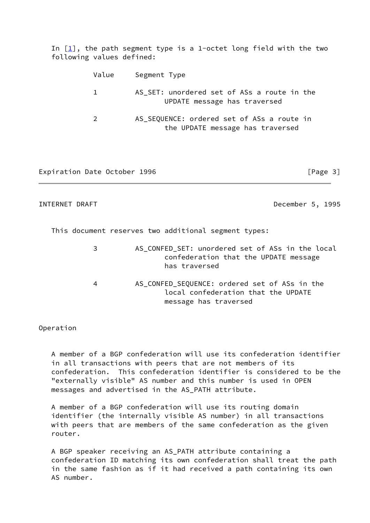In  $[1]$  $[1]$ , the path segment type is a 1-octet long field with the two following values defined:

| Value | Segment Type                                                                   |
|-------|--------------------------------------------------------------------------------|
|       | AS_SET: unordered set of ASs a route in the<br>UPDATE message has traversed    |
| 2     | AS_SEQUENCE: ordered set of ASs a route in<br>the UPDATE message has traversed |

Expiration Date October 1996 **and Southern Expiration Cage 3** 

INTERNET DRAFT December 5, 1995

This document reserves two additional segment types:

- 3 AS\_CONFED\_SET: unordered set of ASs in the local confederation that the UPDATE message has traversed
- 4 AS\_CONFED\_SEQUENCE: ordered set of ASs in the local confederation that the UPDATE message has traversed

Operation

 A member of a BGP confederation will use its confederation identifier in all transactions with peers that are not members of its confederation. This confederation identifier is considered to be the "externally visible" AS number and this number is used in OPEN messages and advertised in the AS\_PATH attribute.

 A member of a BGP confederation will use its routing domain identifier (the internally visible AS number) in all transactions with peers that are members of the same confederation as the given router.

 A BGP speaker receiving an AS\_PATH attribute containing a confederation ID matching its own confederation shall treat the path in the same fashion as if it had received a path containing its own AS number.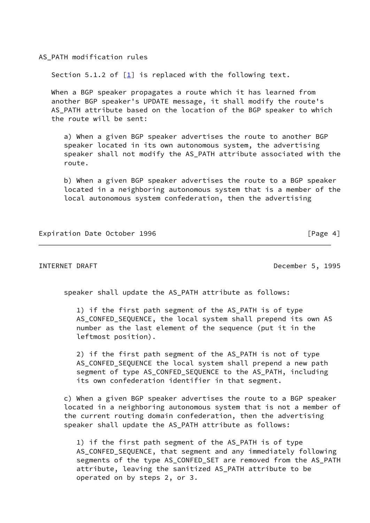AS PATH modification rules

Section 5.1.2 of  $[1]$  is replaced with the following text.

 When a BGP speaker propagates a route which it has learned from another BGP speaker's UPDATE message, it shall modify the route's AS\_PATH attribute based on the location of the BGP speaker to which the route will be sent:

 a) When a given BGP speaker advertises the route to another BGP speaker located in its own autonomous system, the advertising speaker shall not modify the AS\_PATH attribute associated with the route.

 b) When a given BGP speaker advertises the route to a BGP speaker located in a neighboring autonomous system that is a member of the local autonomous system confederation, then the advertising

Expiration Date October 1996 **and Solution** (Page 4)

INTERNET DRAFT December 5, 1995

speaker shall update the AS\_PATH attribute as follows:

 1) if the first path segment of the AS\_PATH is of type AS\_CONFED\_SEQUENCE, the local system shall prepend its own AS number as the last element of the sequence (put it in the leftmost position).

 2) if the first path segment of the AS\_PATH is not of type AS\_CONFED\_SEQUENCE the local system shall prepend a new path segment of type AS\_CONFED\_SEQUENCE to the AS\_PATH, including its own confederation identifier in that segment.

 c) When a given BGP speaker advertises the route to a BGP speaker located in a neighboring autonomous system that is not a member of the current routing domain confederation, then the advertising speaker shall update the AS\_PATH attribute as follows:

 1) if the first path segment of the AS\_PATH is of type AS\_CONFED\_SEQUENCE, that segment and any immediately following segments of the type AS\_CONFED\_SET are removed from the AS\_PATH attribute, leaving the sanitized AS\_PATH attribute to be operated on by steps 2, or 3.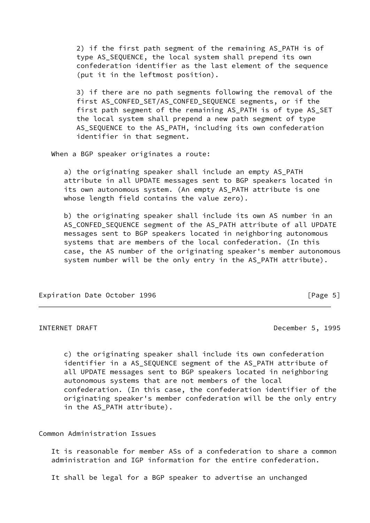2) if the first path segment of the remaining AS\_PATH is of type AS SEQUENCE, the local system shall prepend its own confederation identifier as the last element of the sequence (put it in the leftmost position).

 3) if there are no path segments following the removal of the first AS\_CONFED\_SET/AS\_CONFED\_SEQUENCE segments, or if the first path segment of the remaining AS\_PATH is of type AS\_SET the local system shall prepend a new path segment of type AS\_SEQUENCE to the AS\_PATH, including its own confederation identifier in that segment.

When a BGP speaker originates a route:

a) the originating speaker shall include an empty AS PATH attribute in all UPDATE messages sent to BGP speakers located in its own autonomous system. (An empty AS\_PATH attribute is one whose length field contains the value zero).

 b) the originating speaker shall include its own AS number in an AS\_CONFED\_SEQUENCE segment of the AS\_PATH attribute of all UPDATE messages sent to BGP speakers located in neighboring autonomous systems that are members of the local confederation. (In this case, the AS number of the originating speaker's member autonomous system number will be the only entry in the AS\_PATH attribute).

Expiration Date October 1996 **and Southern Contract Contract Contract Contract Contract Contract Contract Contract** 

INTERNET DRAFT December 5, 1995

 c) the originating speaker shall include its own confederation identifier in a AS\_SEQUENCE segment of the AS\_PATH attribute of all UPDATE messages sent to BGP speakers located in neighboring autonomous systems that are not members of the local confederation. (In this case, the confederation identifier of the originating speaker's member confederation will be the only entry in the AS\_PATH attribute).

Common Administration Issues

 It is reasonable for member ASs of a confederation to share a common administration and IGP information for the entire confederation.

It shall be legal for a BGP speaker to advertise an unchanged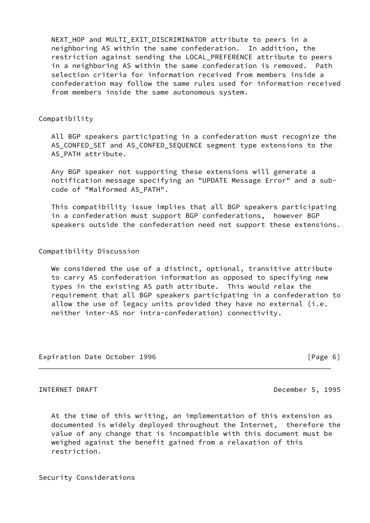NEXT HOP and MULTI EXIT DISCRIMINATOR attribute to peers in a neighboring AS within the same confederation. In addition, the restriction against sending the LOCAL\_PREFERENCE attribute to peers in a neighboring AS within the same confederation is removed. Path selection criteria for information received from members inside a confederation may follow the same rules used for information received from members inside the same autonomous system.

### Compatibility

 All BGP speakers participating in a confederation must recognize the AS\_CONFED\_SET and AS\_CONFED\_SEQUENCE segment type extensions to the AS PATH attribute.

 Any BGP speaker not supporting these extensions will generate a notification message specifying an "UPDATE Message Error" and a sub code of "Malformed AS\_PATH".

 This compatibility issue implies that all BGP speakers participating in a confederation must support BGP confederations, however BGP speakers outside the confederation need not support these extensions.

Compatibility Discussion

We considered the use of a distinct, optional, transitive attribute to carry AS confederation information as opposed to specifying new types in the existing AS path attribute. This would relax the requirement that all BGP speakers participating in a confederation to allow the use of legacy units provided they have no external (i.e. neither inter-AS nor intra-confederation) connectivity.

Expiration Date October 1996 **and Solution Contract Contract Contract Contract Contract Contract Contract Contract** 

INTERNET DRAFT December 5, 1995

 At the time of this writing, an implementation of this extension as documented is widely deployed throughout the Internet, therefore the value of any change that is incompatible with this document must be weighed against the benefit gained from a relaxation of this restriction.

Security Considerations